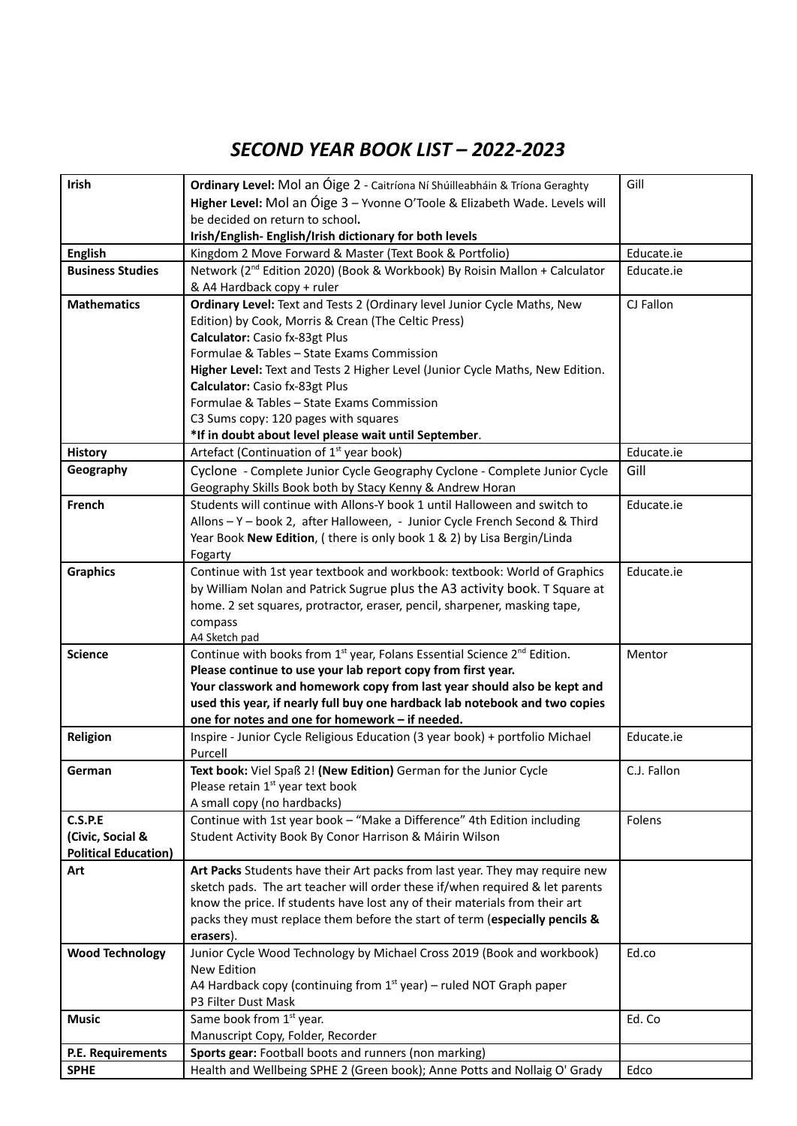## *SECOND YEAR BOOK LIST – 2022-2023*

| Irish                       | Ordinary Level: Mol an Óige 2 - Caitríona Ní Shúilleabháin & Tríona Geraghty                     | Gill        |
|-----------------------------|--------------------------------------------------------------------------------------------------|-------------|
|                             | Higher Level: Mol an Óige 3 - Yvonne O'Toole & Elizabeth Wade. Levels will                       |             |
|                             | be decided on return to school.                                                                  |             |
|                             | Irish/English-English/Irish dictionary for both levels                                           |             |
| <b>English</b>              | Kingdom 2 Move Forward & Master (Text Book & Portfolio)                                          | Educate.ie  |
| <b>Business Studies</b>     | Network (2 <sup>nd</sup> Edition 2020) (Book & Workbook) By Roisin Mallon + Calculator           | Educate.ie  |
|                             | & A4 Hardback copy + ruler                                                                       |             |
| <b>Mathematics</b>          | Ordinary Level: Text and Tests 2 (Ordinary level Junior Cycle Maths, New                         | CJ Fallon   |
|                             | Edition) by Cook, Morris & Crean (The Celtic Press)                                              |             |
|                             | Calculator: Casio fx-83gt Plus                                                                   |             |
|                             | Formulae & Tables - State Exams Commission                                                       |             |
|                             | Higher Level: Text and Tests 2 Higher Level (Junior Cycle Maths, New Edition.                    |             |
|                             | Calculator: Casio fx-83gt Plus                                                                   |             |
|                             | Formulae & Tables - State Exams Commission                                                       |             |
|                             | C3 Sums copy: 120 pages with squares                                                             |             |
|                             | *If in doubt about level please wait until September.                                            |             |
| <b>History</b>              | Artefact (Continuation of 1 <sup>st</sup> year book)                                             | Educate.ie  |
| Geography                   | Cyclone - Complete Junior Cycle Geography Cyclone - Complete Junior Cycle                        | Gill        |
|                             | Geography Skills Book both by Stacy Kenny & Andrew Horan                                         |             |
| <b>French</b>               | Students will continue with Allons-Y book 1 until Halloween and switch to                        | Educate.ie  |
|                             | Allons - Y - book 2, after Halloween, - Junior Cycle French Second & Third                       |             |
|                             | Year Book New Edition, (there is only book 1 & 2) by Lisa Bergin/Linda                           |             |
|                             | Fogarty                                                                                          |             |
| <b>Graphics</b>             | Continue with 1st year textbook and workbook: textbook: World of Graphics                        | Educate.ie  |
|                             | by William Nolan and Patrick Sugrue plus the A3 activity book. T Square at                       |             |
|                             | home. 2 set squares, protractor, eraser, pencil, sharpener, masking tape,                        |             |
|                             | compass                                                                                          |             |
|                             | A4 Sketch pad                                                                                    |             |
| <b>Science</b>              | Continue with books from 1 <sup>st</sup> year, Folans Essential Science 2 <sup>nd</sup> Edition. | Mentor      |
|                             | Please continue to use your lab report copy from first year.                                     |             |
|                             | Your classwork and homework copy from last year should also be kept and                          |             |
|                             | used this year, if nearly full buy one hardback lab notebook and two copies                      |             |
|                             | one for notes and one for homework - if needed.                                                  |             |
| Religion                    | Inspire - Junior Cycle Religious Education (3 year book) + portfolio Michael<br>Purcell          | Educate.ie  |
| German                      | Text book: Viel Spaß 2! (New Edition) German for the Junior Cycle                                | C.J. Fallon |
|                             | Please retain 1 <sup>st</sup> year text book                                                     |             |
|                             | A small copy (no hardbacks)                                                                      |             |
| C.S.P.E                     | Continue with 1st year book - "Make a Difference" 4th Edition including                          | Folens      |
| (Civic, Social &            | Student Activity Book By Conor Harrison & Máirin Wilson                                          |             |
| <b>Political Education)</b> |                                                                                                  |             |
| Art                         | Art Packs Students have their Art packs from last year. They may require new                     |             |
|                             | sketch pads. The art teacher will order these if/when required & let parents                     |             |
|                             | know the price. If students have lost any of their materials from their art                      |             |
|                             | packs they must replace them before the start of term (especially pencils &                      |             |
|                             | erasers).                                                                                        |             |
| <b>Wood Technology</b>      | Junior Cycle Wood Technology by Michael Cross 2019 (Book and workbook)                           | Ed.co       |
|                             | New Edition                                                                                      |             |
|                             | A4 Hardback copy (continuing from $1st$ year) – ruled NOT Graph paper                            |             |
|                             | P3 Filter Dust Mask                                                                              |             |
| <b>Music</b>                | Same book from 1 <sup>st</sup> year.                                                             | Ed. Co      |
|                             | Manuscript Copy, Folder, Recorder                                                                |             |
| P.E. Requirements           | Sports gear: Football boots and runners (non marking)                                            |             |
|                             |                                                                                                  |             |